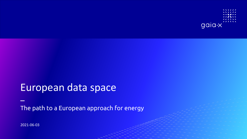

# European data space

The path to a European approach for energy

2021-06-03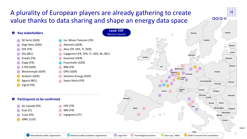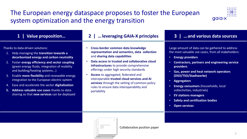## The European energy dataspace proposes to foster the European system optimization and the energy transition



| <u>1</u><br>Value proposition                                                                                                                                                                                                                                                                                                                                                                                                                                                                                          | leveraging GAIA-X principles                                                                                                                                                                                                                                                                                                                                                                                                                                     | and various data sources<br><b>3</b>                                                                                                                                                                                                                                                                                                                                                                                                                                                                                                           |
|------------------------------------------------------------------------------------------------------------------------------------------------------------------------------------------------------------------------------------------------------------------------------------------------------------------------------------------------------------------------------------------------------------------------------------------------------------------------------------------------------------------------|------------------------------------------------------------------------------------------------------------------------------------------------------------------------------------------------------------------------------------------------------------------------------------------------------------------------------------------------------------------------------------------------------------------------------------------------------------------|------------------------------------------------------------------------------------------------------------------------------------------------------------------------------------------------------------------------------------------------------------------------------------------------------------------------------------------------------------------------------------------------------------------------------------------------------------------------------------------------------------------------------------------------|
| Thanks to data-driven solutions:<br>Help managing the transition towards a<br>decarbonized energy and carbon neutrality<br>Foster energy efficiency and sector coupling<br>(green energy fluids, integration of mobility<br>and building/heating systems)<br>3. Enable more flexibility and renewable energy<br>integration to the European electric system<br>Ease and accelerate the sector digitalization<br>4.<br>Address valuable use cases thanks to data-<br>5.<br>sharing so that new services can be deployed | Cross-border common data knowledge<br>representation and semantics, data collection<br>and sharing data capabilities<br>Data access in trusted and collaborative cloud<br>infrastructures to provide comprehensive<br>offerings under high security standards<br>Access to aggregated, federated and<br>interoperable trusted cloud services and AI<br>services through the setting of common policy<br>rules to ensure data interoperability and<br>portability | Large amount of data can be gathered to address<br>the most valuable use cases, from all stakeholders:<br><b>Energy providers</b><br>$\bullet$<br><b>Contractors, partners and engineering service</b><br>$\bullet$<br>providers<br>Gas, power and heat network operators<br>(DSO/TSO/Stadtwerke)<br><b>Aggregators</b><br>$\bullet$<br><b>Energy consumers (households, local)</b><br>collectivities, industrials)<br><b>EV stations managers</b><br><b>Safety and certification bodies</b><br>$\bullet$<br><b>Open services</b><br>$\bullet$ |
|                                                                                                                                                                                                                                                                                                                                                                                                                                                                                                                        |                                                                                                                                                                                                                                                                                                                                                                                                                                                                  |                                                                                                                                                                                                                                                                                                                                                                                                                                                                                                                                                |

Collaborative position paper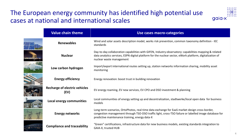## The European energy community has identified high potential use cases at national and international scales



| <b>Value chain theme</b>                     | Use cases macro-categories                                                                                                                                                                                                                               |  |
|----------------------------------------------|----------------------------------------------------------------------------------------------------------------------------------------------------------------------------------------------------------------------------------------------------------|--|
| <b>Renewables</b>                            | Wind and solar assets description model, works risk prevention, common taxonomy definition - IEC<br>standards                                                                                                                                            |  |
| <b>Nuclear</b>                               | Day-to-day collaboration capabilities with GIFEN, Industry observatory: capabilities mapping & related<br>data analytics services, ESPN digital platform for the nuclear sector, eWork platform, digitalization of<br>nuclear waste management           |  |
| Low carbon hydrogen                          | Import/export international routes setting up, station networks information sharing, mobility asset<br>monitoring                                                                                                                                        |  |
| <b>Energy efficiency</b>                     | Energy renovation: boost trust in building renovation                                                                                                                                                                                                    |  |
| <b>Recharge of electric vehicles</b><br>(EV) | EV energy roaming, EV new services, EV CPO and DSO investment & planning                                                                                                                                                                                 |  |
| Local energy communities                     | Local communities of energy setting up and decentralization, stadtwerke/local open data for business<br>models                                                                                                                                           |  |
| <b>Energy networks</b>                       | Long-term scenarios, OrtoPhotos, real-time data exchange for EaaS market design cross-border,<br>congestion management through TSO-DSO traffic light, cross-TSO failure or labelled image database for<br>predictive maintenance training, energy data-X |  |
| <b>Compliance and traceability</b>           | "Green" certifications, infrastructure data for new business models, existing standards integration to<br>GAIA-X, trusted HUB                                                                                                                            |  |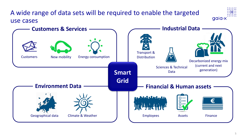

Geographical data Climate & Weather

Employees Assets Finance